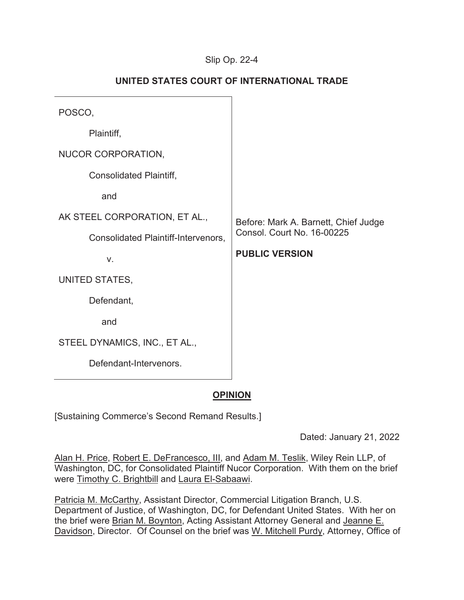## Slip Op. 22-4

| POSCO,                              |                                                                           |
|-------------------------------------|---------------------------------------------------------------------------|
| Plaintiff,                          |                                                                           |
| <b>NUCOR CORPORATION,</b>           |                                                                           |
| <b>Consolidated Plaintiff,</b>      |                                                                           |
| and                                 |                                                                           |
| AK STEEL CORPORATION, ET AL.,       | Before: Mark A. Barnett, Chief Judge<br><b>Consol. Court No. 16-00225</b> |
| Consolidated Plaintiff-Intervenors, |                                                                           |
| V.                                  | <b>PUBLIC VERSION</b>                                                     |
| UNITED STATES,                      |                                                                           |
| Defendant,                          |                                                                           |
| and                                 |                                                                           |
| STEEL DYNAMICS, INC., ET AL.,       |                                                                           |
| Defendant-Intervenors.              |                                                                           |
|                                     |                                                                           |

# **UNITED STATES COURT OF INTERNATIONAL TRADE**

## **OPINION**

[Sustaining Commerce's Second Remand Results.]

Dated: January 21, 2022

Alan H. Price, Robert E. DeFrancesco, III, and Adam M. Teslik, Wiley Rein LLP, of Washington, DC, for Consolidated Plaintiff Nucor Corporation. With them on the brief were Timothy C. Brightbill and Laura El-Sabaawi.

Patricia M. McCarthy, Assistant Director, Commercial Litigation Branch, U.S. Department of Justice, of Washington, DC, for Defendant United States. With her on the brief were Brian M. Boynton, Acting Assistant Attorney General and Jeanne E. Davidson, Director. Of Counsel on the brief was W. Mitchell Purdy, Attorney, Office of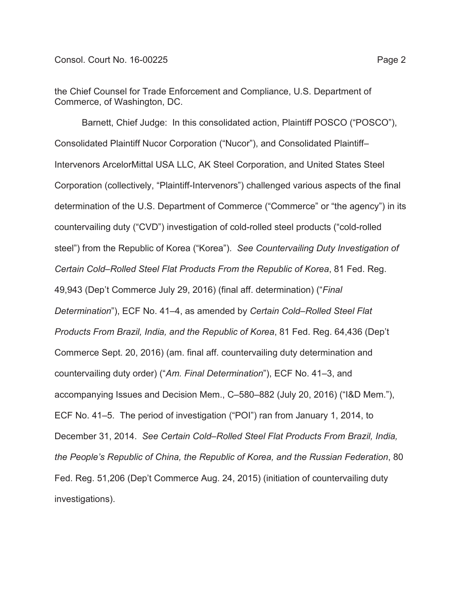the Chief Counsel for Trade Enforcement and Compliance, U.S. Department of Commerce, of Washington, DC.

Barnett, Chief Judge: In this consolidated action, Plaintiff POSCO ("POSCO"), Consolidated Plaintiff Nucor Corporation ("Nucor"), and Consolidated Plaintiff– Intervenors ArcelorMittal USA LLC, AK Steel Corporation, and United States Steel Corporation (collectively, "Plaintiff-Intervenors") challenged various aspects of the final determination of the U.S. Department of Commerce ("Commerce" or "the agency") in its countervailing duty ("CVD") investigation of cold-rolled steel products ("cold-rolled steel") from the Republic of Korea ("Korea"). *See Countervailing Duty Investigation of Certain Cold–Rolled Steel Flat Products From the Republic of Korea*, 81 Fed. Reg. 49,943 (Dep't Commerce July 29, 2016) (final aff. determination) ("*Final Determination*"), ECF No. 41–4, as amended by *Certain Cold–Rolled Steel Flat Products From Brazil, India, and the Republic of Korea*, 81 Fed. Reg. 64,436 (Dep't Commerce Sept. 20, 2016) (am. final aff. countervailing duty determination and countervailing duty order) ("*Am. Final Determination*"), ECF No. 41–3, and accompanying Issues and Decision Mem., C–580–882 (July 20, 2016) ("I&D Mem."), ECF No. 41–5. The period of investigation ("POI") ran from January 1, 2014, to December 31, 2014. *See Certain Cold–Rolled Steel Flat Products From Brazil, India, the People's Republic of China, the Republic of Korea, and the Russian Federation*, 80 Fed. Reg. 51,206 (Dep't Commerce Aug. 24, 2015) (initiation of countervailing duty investigations).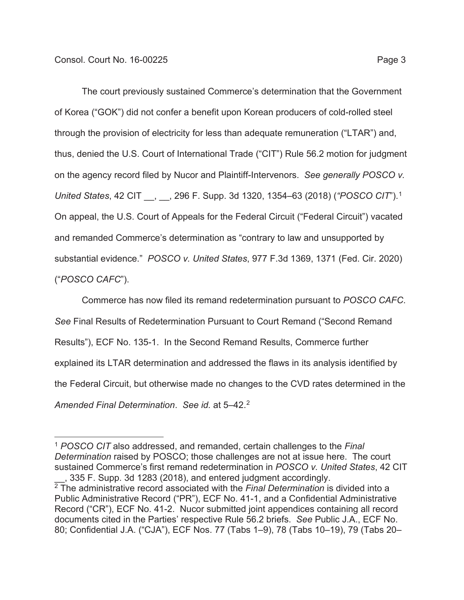The court previously sustained Commerce's determination that the Government of Korea ("GOK") did not confer a benefit upon Korean producers of cold-rolled steel through the provision of electricity for less than adequate remuneration ("LTAR") and, thus, denied the U.S. Court of International Trade ("CIT") Rule 56.2 motion for judgment on the agency record filed by Nucor and Plaintiff-Intervenors. *See generally POSCO v. United States*, 42 CIT \_\_, \_\_, 296 F. Supp. 3d 1320, 1354–63 (2018) (*"POSCO CIT*").1 On appeal, the U.S. Court of Appeals for the Federal Circuit ("Federal Circuit") vacated and remanded Commerce's determination as "contrary to law and unsupported by substantial evidence." *POSCO v. United States*, 977 F.3d 1369, 1371 (Fed. Cir. 2020) ("*POSCO CAFC*").

Commerce has now filed its remand redetermination pursuant to *POSCO CAFC*. *See* Final Results of Redetermination Pursuant to Court Remand ("Second Remand Results"), ECF No. 135-1. In the Second Remand Results, Commerce further explained its LTAR determination and addressed the flaws in its analysis identified by the Federal Circuit, but otherwise made no changes to the CVD rates determined in the *Amended Final Determination*. *See id.* at 5–42.2

<sup>1</sup> *POSCO CIT* also addressed, and remanded, certain challenges to the *Final Determination* raised by POSCO; those challenges are not at issue here. The court sustained Commerce's first remand redetermination in *POSCO v. United States*, 42 CIT \_\_, 335 F. Supp. 3d 1283 (2018), and entered judgment accordingly.

<sup>2</sup> The administrative record associated with the *Final Determination* is divided into a Public Administrative Record ("PR"), ECF No. 41-1, and a Confidential Administrative Record ("CR"), ECF No. 41-2. Nucor submitted joint appendices containing all record documents cited in the Parties' respective Rule 56.2 briefs. *See* Public J.A., ECF No. 80; Confidential J.A. ("CJA"), ECF Nos. 77 (Tabs 1–9), 78 (Tabs 10–19), 79 (Tabs 20–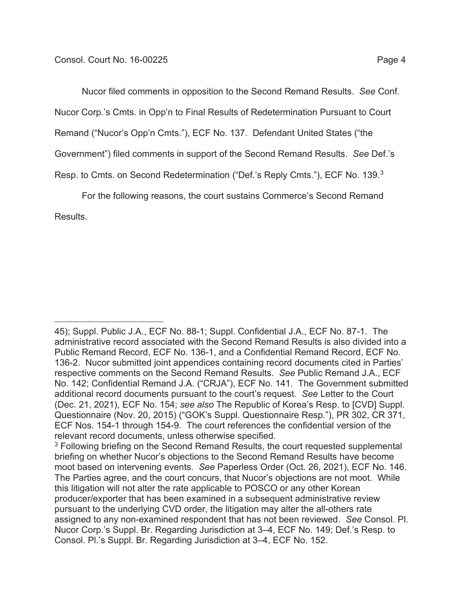Nucor filed comments in opposition to the Second Remand Results. *See* Conf. Nucor Corp.'s Cmts. in Opp'n to Final Results of Redetermination Pursuant to Court Remand ("Nucor's Opp'n Cmts."), ECF No. 137. Defendant United States ("the Government") filed comments in support of the Second Remand Results. *See* Def.'s Resp. to Cmts. on Second Redetermination ("Def.'s Reply Cmts."), ECF No. 139.3

For the following reasons, the court sustains Commerce's Second Remand Results.

Consol. Pl.'s Suppl. Br. Regarding Jurisdiction at 3–4, ECF No. 152.

<sup>45);</sup> Suppl. Public J.A., ECF No. 88-1; Suppl. Confidential J.A., ECF No. 87-1. The administrative record associated with the Second Remand Results is also divided into a Public Remand Record, ECF No. 136-1, and a Confidential Remand Record, ECF No. 136-2. Nucor submitted joint appendices containing record documents cited in Parties' respective comments on the Second Remand Results. *See* Public Remand J.A., ECF No. 142; Confidential Remand J.A. ("CRJA"), ECF No. 141. The Government submitted additional record documents pursuant to the court's request. *See* Letter to the Court (Dec. 21, 2021), ECF No. 154; *see also* The Republic of Korea's Resp. to [CVD] Suppl. Questionnaire (Nov. 20, 2015) ("GOK's Suppl. Questionnaire Resp."), PR 302, CR 371, ECF Nos. 154-1 through 154-9. The court references the confidential version of the relevant record documents, unless otherwise specified. <sup>3</sup> Following briefing on the Second Remand Results, the court requested supplemental briefing on whether Nucor's objections to the Second Remand Results have become moot based on intervening events. *See* Paperless Order (Oct. 26, 2021), ECF No. 146. The Parties agree, and the court concurs, that Nucor's objections are not moot. While this litigation will not alter the rate applicable to POSCO or any other Korean producer/exporter that has been examined in a subsequent administrative review pursuant to the underlying CVD order, the litigation may alter the all-others rate assigned to any non-examined respondent that has not been reviewed. *See* Consol. Pl. Nucor Corp.'s Suppl. Br. Regarding Jurisdiction at 3–4, ECF No. 149; Def.'s Resp. to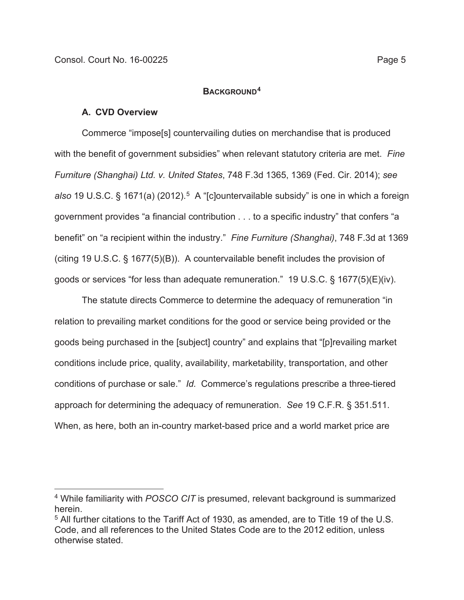### **A. CVD Overview**

Commerce "impose[s] countervailing duties on merchandise that is produced with the benefit of government subsidies" when relevant statutory criteria are met. *Fine Furniture (Shanghai) Ltd. v. United States*, 748 F.3d 1365, 1369 (Fed. Cir. 2014); *see also* 19 U.S.C. § 1671(a) (2012).5 A "[c]ountervailable subsidy" is one in which a foreign government provides "a financial contribution . . . to a specific industry" that confers "a benefit" on "a recipient within the industry." *Fine Furniture (Shanghai)*, 748 F.3d at 1369 (citing 19 U.S.C. § 1677(5)(B)). A countervailable benefit includes the provision of goods or services "for less than adequate remuneration." 19 U.S.C. § 1677(5)(E)(iv).

The statute directs Commerce to determine the adequacy of remuneration "in relation to prevailing market conditions for the good or service being provided or the goods being purchased in the [subject] country" and explains that "[p]revailing market conditions include price, quality, availability, marketability, transportation, and other conditions of purchase or sale." *Id.* Commerce's regulations prescribe a three-tiered approach for determining the adequacy of remuneration. *See* 19 C.F.R. § 351.511. When, as here, both an in-country market-based price and a world market price are

<sup>4</sup> While familiarity with *POSCO CIT* is presumed, relevant background is summarized herein.

<sup>5</sup> All further citations to the Tariff Act of 1930, as amended, are to Title 19 of the U.S. Code, and all references to the United States Code are to the 2012 edition, unless otherwise stated.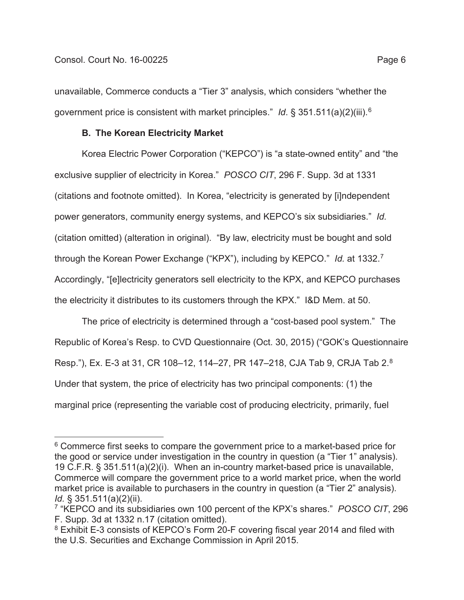unavailable, Commerce conducts a "Tier 3" analysis, which considers "whether the government price is consistent with market principles." *Id*. § 351.511(a)(2)(iii).6

### **B. The Korean Electricity Market**

Korea Electric Power Corporation ("KEPCO") is "a state-owned entity" and "the exclusive supplier of electricity in Korea." *POSCO CIT*, 296 F. Supp. 3d at 1331 (citations and footnote omitted). In Korea, "electricity is generated by [i]ndependent power generators, community energy systems, and KEPCO's six subsidiaries." *Id.* (citation omitted) (alteration in original). "By law, electricity must be bought and sold through the Korean Power Exchange ("KPX"), including by KEPCO." *Id.* at 1332.7 Accordingly, "[e]lectricity generators sell electricity to the KPX, and KEPCO purchases the electricity it distributes to its customers through the KPX." I&D Mem. at 50.

The price of electricity is determined through a "cost-based pool system." The Republic of Korea's Resp. to CVD Questionnaire (Oct. 30, 2015) ("GOK's Questionnaire Resp."), Ex. E-3 at 31, CR 108–12, 114–27, PR 147–218, CJA Tab 9, CRJA Tab 2.8 Under that system, the price of electricity has two principal components: (1) the marginal price (representing the variable cost of producing electricity, primarily, fuel

<sup>&</sup>lt;sup>6</sup> Commerce first seeks to compare the government price to a market-based price for the good or service under investigation in the country in question (a "Tier 1" analysis). 19 C.F.R. § 351.511(a)(2)(i). When an in-country market-based price is unavailable, Commerce will compare the government price to a world market price, when the world market price is available to purchasers in the country in question (a "Tier 2" analysis). *Id.* § 351.511(a)(2)(ii).

<sup>7 &</sup>quot;KEPCO and its subsidiaries own 100 percent of the KPX's shares." *POSCO CIT*, 296 F. Supp. 3d at 1332 n.17 (citation omitted).

<sup>8</sup> Exhibit E-3 consists of KEPCO's Form 20-F covering fiscal year 2014 and filed with the U.S. Securities and Exchange Commission in April 2015.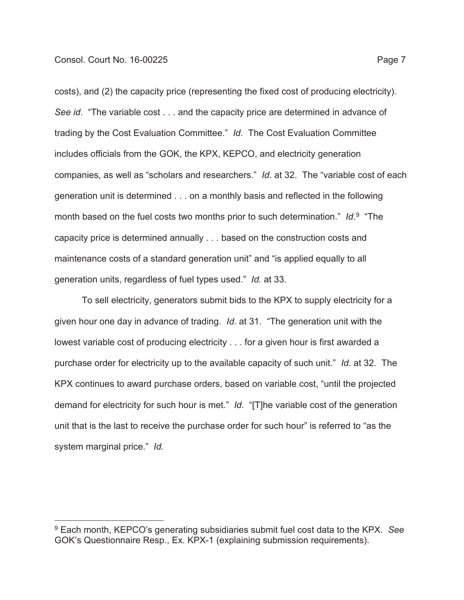costs), and (2) the capacity price (representing the fixed cost of producing electricity). *See id*. "The variable cost . . . and the capacity price are determined in advance of trading by the Cost Evaluation Committee." *Id*. The Cost Evaluation Committee includes officials from the GOK, the KPX, KEPCO, and electricity generation companies, as well as "scholars and researchers." *Id*. at 32. The "variable cost of each generation unit is determined . . . on a monthly basis and reflected in the following month based on the fuel costs two months prior to such determination." *Id*. 9 "The capacity price is determined annually . . . based on the construction costs and maintenance costs of a standard generation unit" and "is applied equally to all generation units, regardless of fuel types used." *Id.* at 33.

To sell electricity, generators submit bids to the KPX to supply electricity for a given hour one day in advance of trading. *Id*. at 31. "The generation unit with the lowest variable cost of producing electricity . . . for a given hour is first awarded a purchase order for electricity up to the available capacity of such unit." *Id.* at 32. The KPX continues to award purchase orders, based on variable cost, "until the projected demand for electricity for such hour is met." *Id*. "[T]he variable cost of the generation unit that is the last to receive the purchase order for such hour" is referred to "as the system marginal price." *Id.*

<sup>9</sup> Each month, KEPCO's generating subsidiaries submit fuel cost data to the KPX. *See*  GOK's Questionnaire Resp., Ex. KPX-1 (explaining submission requirements).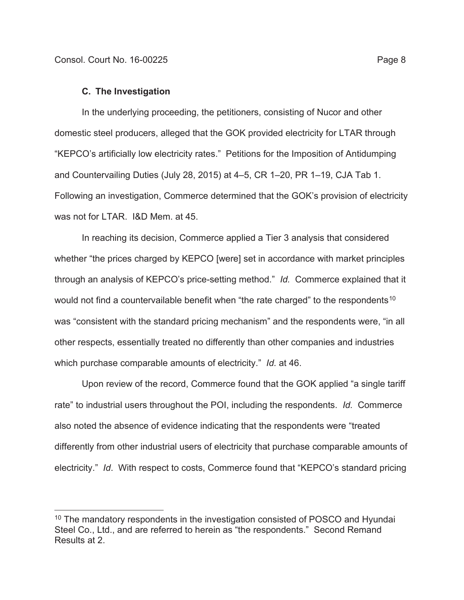#### **C. The Investigation**

In the underlying proceeding, the petitioners, consisting of Nucor and other domestic steel producers, alleged that the GOK provided electricity for LTAR through "KEPCO's artificially low electricity rates." Petitions for the Imposition of Antidumping and Countervailing Duties (July 28, 2015) at 4–5, CR 1–20, PR 1–19, CJA Tab 1. Following an investigation, Commerce determined that the GOK's provision of electricity was not for LTAR. I&D Mem. at 45.

In reaching its decision, Commerce applied a Tier 3 analysis that considered whether "the prices charged by KEPCO [were] set in accordance with market principles through an analysis of KEPCO's price-setting method." *Id.* Commerce explained that it would not find a countervailable benefit when "the rate charged" to the respondents<sup>10</sup> was "consistent with the standard pricing mechanism" and the respondents were, "in all other respects, essentially treated no differently than other companies and industries which purchase comparable amounts of electricity." *Id.* at 46.

Upon review of the record, Commerce found that the GOK applied "a single tariff rate" to industrial users throughout the POI, including the respondents. *Id.* Commerce also noted the absence of evidence indicating that the respondents were "treated differently from other industrial users of electricity that purchase comparable amounts of electricity." *Id*. With respect to costs, Commerce found that "KEPCO's standard pricing

<sup>&</sup>lt;sup>10</sup> The mandatory respondents in the investigation consisted of POSCO and Hyundai Steel Co., Ltd., and are referred to herein as "the respondents." Second Remand Results at 2.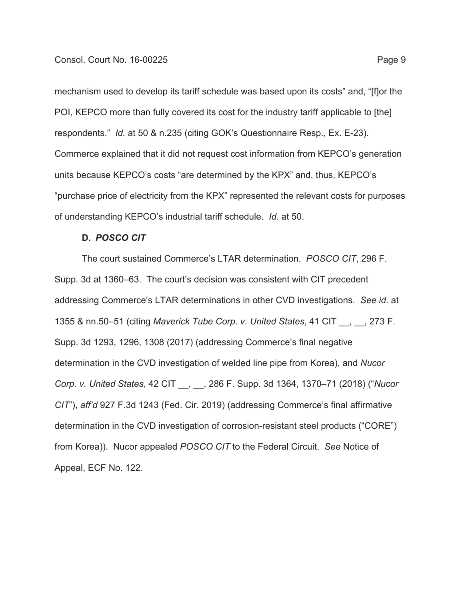mechanism used to develop its tariff schedule was based upon its costs" and, "[f]or the POI, KEPCO more than fully covered its cost for the industry tariff applicable to [the] respondents." *Id.* at 50 & n.235 (citing GOK's Questionnaire Resp., Ex. E-23). Commerce explained that it did not request cost information from KEPCO's generation units because KEPCO's costs "are determined by the KPX" and, thus, KEPCO's "purchase price of electricity from the KPX" represented the relevant costs for purposes of understanding KEPCO's industrial tariff schedule. *Id.* at 50.

#### **D.** *POSCO CIT*

The court sustained Commerce's LTAR determination. *POSCO CIT*, 296 F. Supp. 3d at 1360–63. The court's decision was consistent with CIT precedent addressing Commerce's LTAR determinations in other CVD investigations. *See id.* at 1355 & nn.50–51 (citing *Maverick Tube Corp. v. United States*, 41 CIT \_\_, \_\_, 273 F. Supp. 3d 1293, 1296, 1308 (2017) (addressing Commerce's final negative determination in the CVD investigation of welded line pipe from Korea), and *Nucor Corp. v. United States*, 42 CIT \_\_, \_\_, 286 F. Supp. 3d 1364, 1370–71 (2018) ("*Nucor CIT*"), *aff'd* 927 F.3d 1243 (Fed. Cir. 2019) (addressing Commerce's final affirmative determination in the CVD investigation of corrosion-resistant steel products ("CORE") from Korea)). Nucor appealed *POSCO CIT* to the Federal Circuit. *See* Notice of Appeal, ECF No. 122.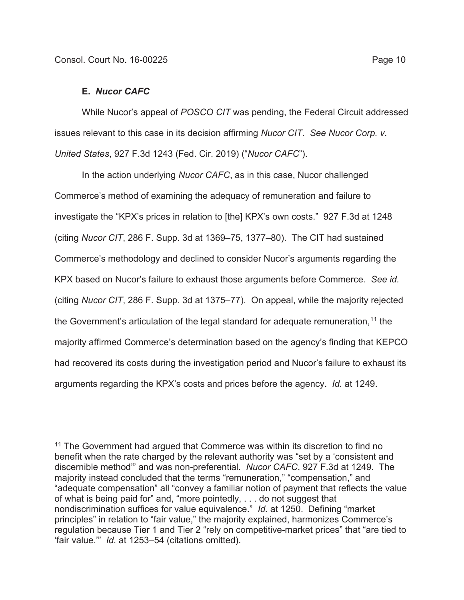### **E.** *Nucor CAFC*

While Nucor's appeal of *POSCO CIT* was pending, the Federal Circuit addressed issues relevant to this case in its decision affirming *Nucor CIT*. *See Nucor Corp. v. United States*, 927 F.3d 1243 (Fed. Cir. 2019) ("*Nucor CAFC*").

In the action underlying *Nucor CAFC*, as in this case, Nucor challenged Commerce's method of examining the adequacy of remuneration and failure to investigate the "KPX's prices in relation to [the] KPX's own costs." 927 F.3d at 1248 (citing *Nucor CIT*, 286 F. Supp. 3d at 1369–75, 1377–80). The CIT had sustained Commerce's methodology and declined to consider Nucor's arguments regarding the KPX based on Nucor's failure to exhaust those arguments before Commerce. *See id.* (citing *Nucor CIT*, 286 F. Supp. 3d at 1375–77). On appeal, while the majority rejected the Government's articulation of the legal standard for adequate remuneration,  $11$  the majority affirmed Commerce's determination based on the agency's finding that KEPCO had recovered its costs during the investigation period and Nucor's failure to exhaust its arguments regarding the KPX's costs and prices before the agency. *Id.* at 1249.

<sup>&</sup>lt;sup>11</sup> The Government had argued that Commerce was within its discretion to find no benefit when the rate charged by the relevant authority was "set by a 'consistent and discernible method'" and was non-preferential. *Nucor CAFC*, 927 F.3d at 1249. The majority instead concluded that the terms "remuneration," "compensation," and "adequate compensation" all "convey a familiar notion of payment that reflects the value of what is being paid for" and, "more pointedly, . . . do not suggest that nondiscrimination suffices for value equivalence." *Id.* at 1250. Defining "market principles" in relation to "fair value," the majority explained, harmonizes Commerce's regulation because Tier 1 and Tier 2 "rely on competitive-market prices" that "are tied to 'fair value.'" *Id.* at 1253–54 (citations omitted).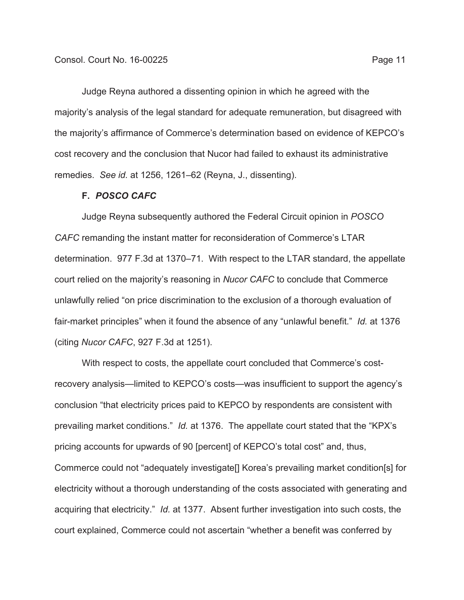Judge Reyna authored a dissenting opinion in which he agreed with the majority's analysis of the legal standard for adequate remuneration, but disagreed with the majority's affirmance of Commerce's determination based on evidence of KEPCO's cost recovery and the conclusion that Nucor had failed to exhaust its administrative remedies. *See id.* at 1256, 1261–62 (Reyna, J., dissenting).

### **F.** *POSCO CAFC*

Judge Reyna subsequently authored the Federal Circuit opinion in *POSCO CAFC* remanding the instant matter for reconsideration of Commerce's LTAR determination. 977 F.3d at 1370–71. With respect to the LTAR standard, the appellate court relied on the majority's reasoning in *Nucor CAFC* to conclude that Commerce unlawfully relied "on price discrimination to the exclusion of a thorough evaluation of fair-market principles" when it found the absence of any "unlawful benefit." *Id.* at 1376 (citing *Nucor CAFC*, 927 F.3d at 1251).

With respect to costs, the appellate court concluded that Commerce's costrecovery analysis—limited to KEPCO's costs—was insufficient to support the agency's conclusion "that electricity prices paid to KEPCO by respondents are consistent with prevailing market conditions." *Id.* at 1376. The appellate court stated that the "KPX's pricing accounts for upwards of 90 [percent] of KEPCO's total cost" and, thus, Commerce could not "adequately investigate[] Korea's prevailing market condition[s] for electricity without a thorough understanding of the costs associated with generating and acquiring that electricity." *Id.* at 1377. Absent further investigation into such costs, the court explained, Commerce could not ascertain "whether a benefit was conferred by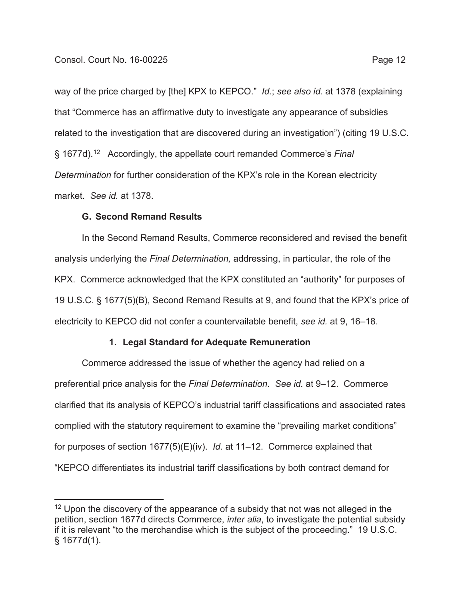way of the price charged by [the] KPX to KEPCO." *Id.*; *see also id.* at 1378 (explaining that "Commerce has an affirmative duty to investigate any appearance of subsidies related to the investigation that are discovered during an investigation") (citing 19 U.S.C. § 1677d).12 Accordingly, the appellate court remanded Commerce's *Final Determination* for further consideration of the KPX's role in the Korean electricity market. *See id.* at 1378.

## **G. Second Remand Results**

In the Second Remand Results, Commerce reconsidered and revised the benefit analysis underlying the *Final Determination,* addressing, in particular, the role of the KPX. Commerce acknowledged that the KPX constituted an "authority" for purposes of 19 U.S.C. § 1677(5)(B), Second Remand Results at 9, and found that the KPX's price of electricity to KEPCO did not confer a countervailable benefit, *see id.* at 9, 16–18.

# **1. Legal Standard for Adequate Remuneration**

Commerce addressed the issue of whether the agency had relied on a preferential price analysis for the *Final Determination*. *See id.* at 9–12. Commerce clarified that its analysis of KEPCO's industrial tariff classifications and associated rates complied with the statutory requirement to examine the "prevailing market conditions" for purposes of section 1677(5)(E)(iv). *Id.* at 11–12. Commerce explained that "KEPCO differentiates its industrial tariff classifications by both contract demand for

 $12$  Upon the discovery of the appearance of a subsidy that not was not alleged in the petition, section 1677d directs Commerce, *inter alia*, to investigate the potential subsidy if it is relevant "to the merchandise which is the subject of the proceeding." 19 U.S.C.  $§ 1677d(1).$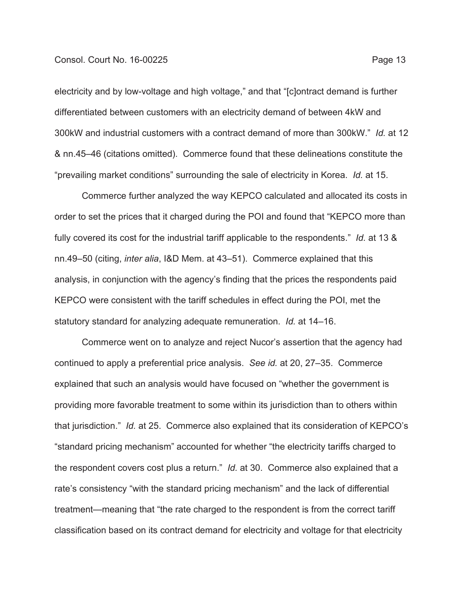### Consol. Court No. 16-00225 **Page 13**

electricity and by low-voltage and high voltage," and that "[c]ontract demand is further differentiated between customers with an electricity demand of between 4kW and 300kW and industrial customers with a contract demand of more than 300kW." *Id.* at 12 & nn.45–46 (citations omitted). Commerce found that these delineations constitute the "prevailing market conditions" surrounding the sale of electricity in Korea. *Id.* at 15.

Commerce further analyzed the way KEPCO calculated and allocated its costs in order to set the prices that it charged during the POI and found that "KEPCO more than fully covered its cost for the industrial tariff applicable to the respondents." *Id.* at 13 & nn.49–50 (citing, *inter alia*, I&D Mem. at 43–51). Commerce explained that this analysis, in conjunction with the agency's finding that the prices the respondents paid KEPCO were consistent with the tariff schedules in effect during the POI, met the statutory standard for analyzing adequate remuneration. *Id.* at 14–16.

Commerce went on to analyze and reject Nucor's assertion that the agency had continued to apply a preferential price analysis. *See id.* at 20, 27–35. Commerce explained that such an analysis would have focused on "whether the government is providing more favorable treatment to some within its jurisdiction than to others within that jurisdiction." *Id.* at 25. Commerce also explained that its consideration of KEPCO's "standard pricing mechanism" accounted for whether "the electricity tariffs charged to the respondent covers cost plus a return." *Id.* at 30. Commerce also explained that a rate's consistency "with the standard pricing mechanism" and the lack of differential treatment—meaning that "the rate charged to the respondent is from the correct tariff classification based on its contract demand for electricity and voltage for that electricity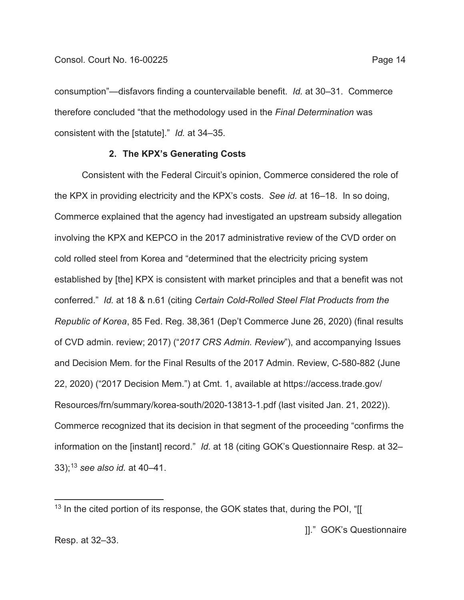consumption"—disfavors finding a countervailable benefit. *Id.* at 30–31. Commerce therefore concluded "that the methodology used in the *Final Determination* was consistent with the [statute]." *Id.* at 34–35.

### **2. The KPX's Generating Costs**

Consistent with the Federal Circuit's opinion, Commerce considered the role of the KPX in providing electricity and the KPX's costs. *See id.* at 16–18. In so doing, Commerce explained that the agency had investigated an upstream subsidy allegation involving the KPX and KEPCO in the 2017 administrative review of the CVD order on cold rolled steel from Korea and "determined that the electricity pricing system established by [the] KPX is consistent with market principles and that a benefit was not conferred." *Id.* at 18 & n.61 (citing *Certain Cold-Rolled Steel Flat Products from the Republic of Korea*, 85 Fed. Reg. 38,361 (Dep't Commerce June 26, 2020) (final results of CVD admin. review; 2017) ("*2017 CRS Admin. Review*"), and accompanying Issues and Decision Mem. for the Final Results of the 2017 Admin. Review, C-580-882 (June 22, 2020) ("2017 Decision Mem.") at Cmt. 1, available at https://access.trade.gov/ Resources/frn/summary/korea-south/2020-13813-1.pdf (last visited Jan. 21, 2022)). Commerce recognized that its decision in that segment of the proceeding "confirms the information on the [instant] record." *Id.* at 18 (citing GOK's Questionnaire Resp. at 32– 33);13 *see also id.* at 40–41.

]]." GOK's Questionnaire

 $13$  In the cited portion of its response, the GOK states that, during the POI, "[[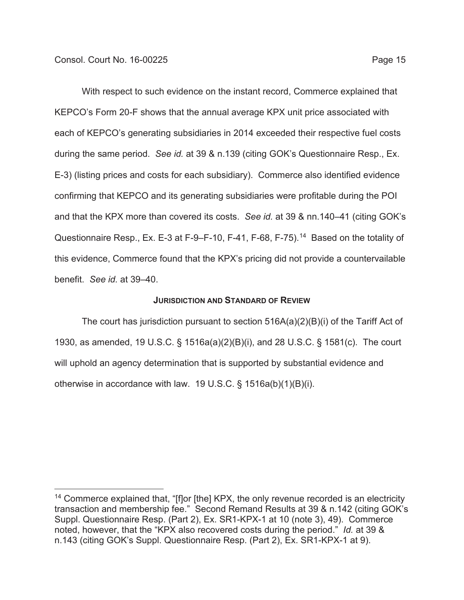With respect to such evidence on the instant record, Commerce explained that KEPCO's Form 20-F shows that the annual average KPX unit price associated with each of KEPCO's generating subsidiaries in 2014 exceeded their respective fuel costs during the same period. *See id.* at 39 & n.139 (citing GOK's Questionnaire Resp., Ex. E-3) (listing prices and costs for each subsidiary). Commerce also identified evidence confirming that KEPCO and its generating subsidiaries were profitable during the POI and that the KPX more than covered its costs. *See id.* at 39 & nn.140–41 (citing GOK's Questionnaire Resp., Ex. E-3 at F-9–F-10, F-41, F-68, F-75).<sup>14</sup> Based on the totality of this evidence, Commerce found that the KPX's pricing did not provide a countervailable benefit. *See id.* at 39–40.

#### **JURISDICTION AND STANDARD OF REVIEW**

The court has jurisdiction pursuant to section 516A(a)(2)(B)(i) of the Tariff Act of 1930, as amended, 19 U.S.C. § 1516a(a)(2)(B)(i), and 28 U.S.C. § 1581(c). The court will uphold an agency determination that is supported by substantial evidence and otherwise in accordance with law. 19 U.S.C. § 1516a(b)(1)(B)(i).

<sup>&</sup>lt;sup>14</sup> Commerce explained that, "[f]or [the] KPX, the only revenue recorded is an electricity transaction and membership fee." Second Remand Results at 39 & n.142 (citing GOK's Suppl. Questionnaire Resp. (Part 2), Ex. SR1-KPX-1 at 10 (note 3), 49). Commerce noted, however, that the "KPX also recovered costs during the period." *Id.* at 39 & n.143 (citing GOK's Suppl. Questionnaire Resp. (Part 2), Ex. SR1-KPX-1 at 9).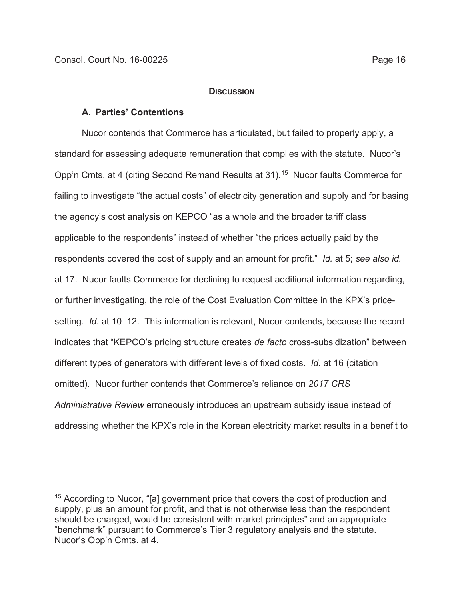### **A. Parties' Contentions**

Nucor contends that Commerce has articulated, but failed to properly apply, a standard for assessing adequate remuneration that complies with the statute. Nucor's Opp'n Cmts. at 4 (citing Second Remand Results at 31).<sup>15</sup> Nucor faults Commerce for failing to investigate "the actual costs" of electricity generation and supply and for basing the agency's cost analysis on KEPCO "as a whole and the broader tariff class applicable to the respondents" instead of whether "the prices actually paid by the respondents covered the cost of supply and an amount for profit." *Id.* at 5; *see also id.*  at 17. Nucor faults Commerce for declining to request additional information regarding, or further investigating, the role of the Cost Evaluation Committee in the KPX's pricesetting. *Id.* at 10–12. This information is relevant, Nucor contends, because the record indicates that "KEPCO's pricing structure creates *de facto* cross-subsidization" between different types of generators with different levels of fixed costs. *Id.* at 16 (citation omitted). Nucor further contends that Commerce's reliance on *2017 CRS Administrative Review* erroneously introduces an upstream subsidy issue instead of addressing whether the KPX's role in the Korean electricity market results in a benefit to

<sup>&</sup>lt;sup>15</sup> According to Nucor, "[a] government price that covers the cost of production and supply, plus an amount for profit, and that is not otherwise less than the respondent should be charged, would be consistent with market principles" and an appropriate "benchmark" pursuant to Commerce's Tier 3 regulatory analysis and the statute. Nucor's Opp'n Cmts. at 4.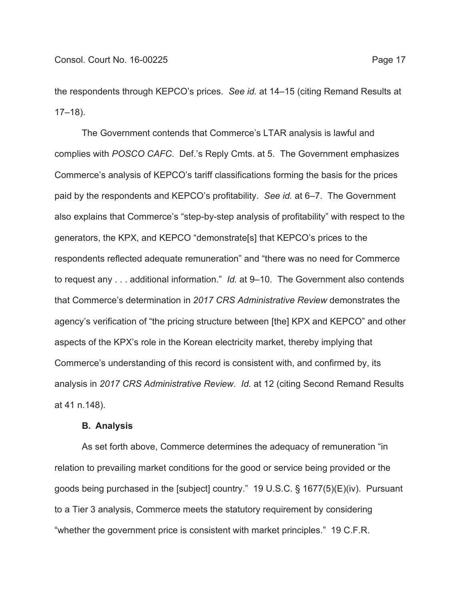the respondents through KEPCO's prices. *See id.* at 14–15 (citing Remand Results at  $17-18$ ).

The Government contends that Commerce's LTAR analysis is lawful and complies with *POSCO CAFC*. Def.'s Reply Cmts. at 5. The Government emphasizes Commerce's analysis of KEPCO's tariff classifications forming the basis for the prices paid by the respondents and KEPCO's profitability. *See id.* at 6–7. The Government also explains that Commerce's "step-by-step analysis of profitability" with respect to the generators, the KPX, and KEPCO "demonstrate[s] that KEPCO's prices to the respondents reflected adequate remuneration" and "there was no need for Commerce to request any . . . additional information." *Id.* at 9–10. The Government also contends that Commerce's determination in *2017 CRS Administrative Review* demonstrates the agency's verification of "the pricing structure between [the] KPX and KEPCO" and other aspects of the KPX's role in the Korean electricity market, thereby implying that Commerce's understanding of this record is consistent with, and confirmed by, its analysis in *2017 CRS Administrative Review*. *Id.* at 12 (citing Second Remand Results at 41 n.148).

#### **B. Analysis**

As set forth above, Commerce determines the adequacy of remuneration "in relation to prevailing market conditions for the good or service being provided or the goods being purchased in the [subject] country." 19 U.S.C. § 1677(5)(E)(iv). Pursuant to a Tier 3 analysis, Commerce meets the statutory requirement by considering "whether the government price is consistent with market principles." 19 C.F.R.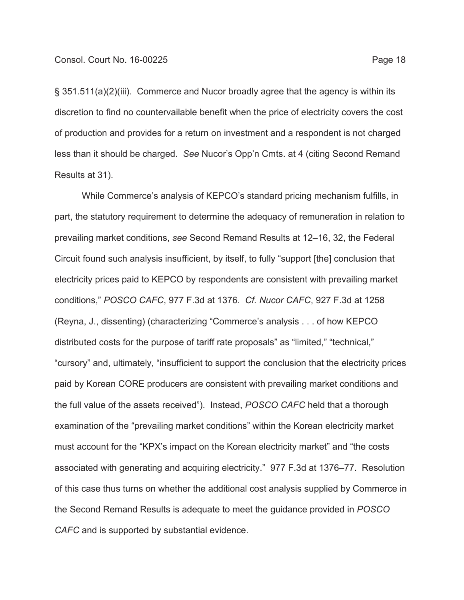§ 351.511(a)(2)(iii). Commerce and Nucor broadly agree that the agency is within its discretion to find no countervailable benefit when the price of electricity covers the cost of production and provides for a return on investment and a respondent is not charged less than it should be charged. *See* Nucor's Opp'n Cmts. at 4 (citing Second Remand Results at 31).

While Commerce's analysis of KEPCO's standard pricing mechanism fulfills, in part, the statutory requirement to determine the adequacy of remuneration in relation to prevailing market conditions, *see* Second Remand Results at 12–16, 32, the Federal Circuit found such analysis insufficient, by itself, to fully "support [the] conclusion that electricity prices paid to KEPCO by respondents are consistent with prevailing market conditions," *POSCO CAFC*, 977 F.3d at 1376. *Cf. Nucor CAFC*, 927 F.3d at 1258 (Reyna, J., dissenting) (characterizing "Commerce's analysis . . . of how KEPCO distributed costs for the purpose of tariff rate proposals" as "limited," "technical," "cursory" and, ultimately, "insufficient to support the conclusion that the electricity prices paid by Korean CORE producers are consistent with prevailing market conditions and the full value of the assets received"). Instead, *POSCO CAFC* held that a thorough examination of the "prevailing market conditions" within the Korean electricity market must account for the "KPX's impact on the Korean electricity market" and "the costs associated with generating and acquiring electricity." 977 F.3d at 1376–77. Resolution of this case thus turns on whether the additional cost analysis supplied by Commerce in the Second Remand Results is adequate to meet the guidance provided in *POSCO CAFC* and is supported by substantial evidence.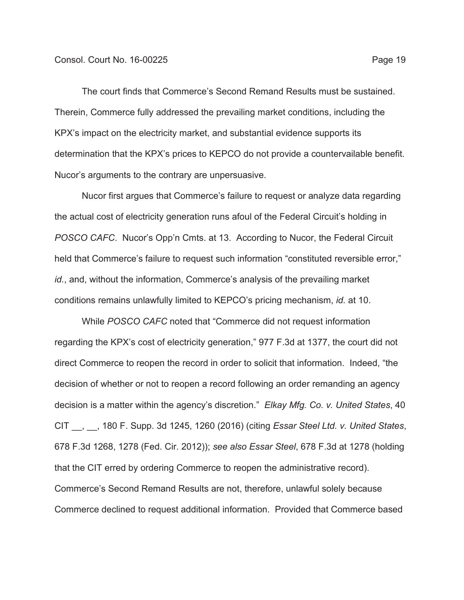The court finds that Commerce's Second Remand Results must be sustained. Therein, Commerce fully addressed the prevailing market conditions, including the KPX's impact on the electricity market, and substantial evidence supports its determination that the KPX's prices to KEPCO do not provide a countervailable benefit. Nucor's arguments to the contrary are unpersuasive.

Nucor first argues that Commerce's failure to request or analyze data regarding the actual cost of electricity generation runs afoul of the Federal Circuit's holding in *POSCO CAFC*. Nucor's Opp'n Cmts. at 13. According to Nucor, the Federal Circuit held that Commerce's failure to request such information "constituted reversible error," *id.*, and, without the information, Commerce's analysis of the prevailing market conditions remains unlawfully limited to KEPCO's pricing mechanism, *id.* at 10.

While *POSCO CAFC* noted that "Commerce did not request information regarding the KPX's cost of electricity generation," 977 F.3d at 1377, the court did not direct Commerce to reopen the record in order to solicit that information. Indeed, "the decision of whether or not to reopen a record following an order remanding an agency decision is a matter within the agency's discretion." *Elkay Mfg. Co. v. United States*, 40 CIT \_\_, \_\_, 180 F. Supp. 3d 1245, 1260 (2016) (citing *Essar Steel Ltd. v. United States*, 678 F.3d 1268, 1278 (Fed. Cir. 2012)); *see also Essar Steel*, 678 F.3d at 1278 (holding that the CIT erred by ordering Commerce to reopen the administrative record). Commerce's Second Remand Results are not, therefore, unlawful solely because Commerce declined to request additional information. Provided that Commerce based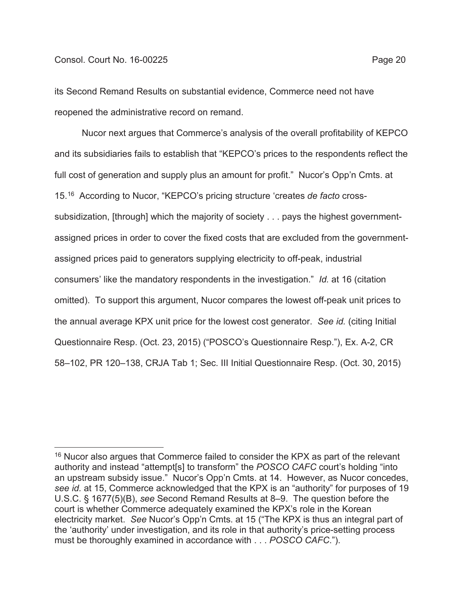its Second Remand Results on substantial evidence, Commerce need not have reopened the administrative record on remand.

Nucor next argues that Commerce's analysis of the overall profitability of KEPCO and its subsidiaries fails to establish that "KEPCO's prices to the respondents reflect the full cost of generation and supply plus an amount for profit." Nucor's Opp'n Cmts. at 15.16 According to Nucor, "KEPCO's pricing structure 'creates *de facto* crosssubsidization, [through] which the majority of society . . . pays the highest governmentassigned prices in order to cover the fixed costs that are excluded from the governmentassigned prices paid to generators supplying electricity to off-peak, industrial consumers' like the mandatory respondents in the investigation." *Id.* at 16 (citation omitted). To support this argument, Nucor compares the lowest off-peak unit prices to the annual average KPX unit price for the lowest cost generator. *See id.* (citing Initial Questionnaire Resp. (Oct. 23, 2015) ("POSCO's Questionnaire Resp."), Ex. A-2, CR 58–102, PR 120–138, CRJA Tab 1; Sec. III Initial Questionnaire Resp. (Oct. 30, 2015)

 $16$  Nucor also argues that Commerce failed to consider the KPX as part of the relevant authority and instead "attempt[s] to transform" the *POSCO CAFC* court's holding "into an upstream subsidy issue." Nucor's Opp'n Cmts. at 14. However, as Nucor concedes, *see id.* at 15, Commerce acknowledged that the KPX is an "authority" for purposes of 19 U.S.C. § 1677(5)(B), *see* Second Remand Results at 8–9. The question before the court is whether Commerce adequately examined the KPX's role in the Korean electricity market. *See* Nucor's Opp'n Cmts. at 15 ("The KPX is thus an integral part of the 'authority' under investigation, and its role in that authority's price-setting process must be thoroughly examined in accordance with . . . *POSCO CAFC*.").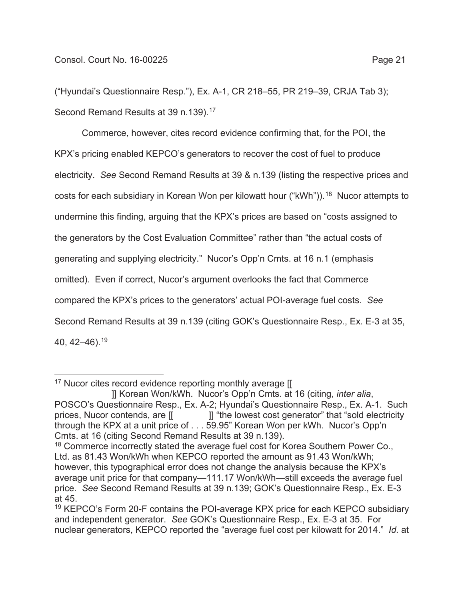Commerce, however, cites record evidence confirming that, for the POI, the KPX's pricing enabled KEPCO's generators to recover the cost of fuel to produce electricity. *See* Second Remand Results at 39 & n.139 (listing the respective prices and costs for each subsidiary in Korean Won per kilowatt hour ("kWh")).<sup>18</sup> Nucor attempts to undermine this finding, arguing that the KPX's prices are based on "costs assigned to the generators by the Cost Evaluation Committee" rather than "the actual costs of generating and supplying electricity." Nucor's Opp'n Cmts. at 16 n.1 (emphasis omitted). Even if correct, Nucor's argument overlooks the fact that Commerce compared the KPX's prices to the generators' actual POI-average fuel costs. *See* Second Remand Results at 39 n.139 (citing GOK's Questionnaire Resp., Ex. E-3 at 35, 40, 42–46).19

<sup>&</sup>lt;sup>17</sup> Nucor cites record evidence reporting monthly average [[

<sup>]]</sup> Korean Won/kWh. Nucor's Opp'n Cmts. at 16 (citing, *inter alia*, POSCO's Questionnaire Resp., Ex. A-2; Hyundai's Questionnaire Resp., Ex. A-1. Such prices, Nucor contends, are [[ ]] "the lowest cost generator" that "sold electricity through the KPX at a unit price of . . . 59.95" Korean Won per kWh. Nucor's Opp'n Cmts. at 16 (citing Second Remand Results at 39 n.139).

<sup>&</sup>lt;sup>18</sup> Commerce incorrectly stated the average fuel cost for Korea Southern Power Co., Ltd. as 81.43 Won/kWh when KEPCO reported the amount as 91.43 Won/kWh; however, this typographical error does not change the analysis because the KPX's average unit price for that company—111.17 Won/kWh—still exceeds the average fuel price. *See* Second Remand Results at 39 n.139; GOK's Questionnaire Resp., Ex. E-3 at 45.

<sup>&</sup>lt;sup>19</sup> KEPCO's Form 20-F contains the POI-average KPX price for each KEPCO subsidiary and independent generator. *See* GOK's Questionnaire Resp., Ex. E-3 at 35. For nuclear generators, KEPCO reported the "average fuel cost per kilowatt for 2014." *Id.* at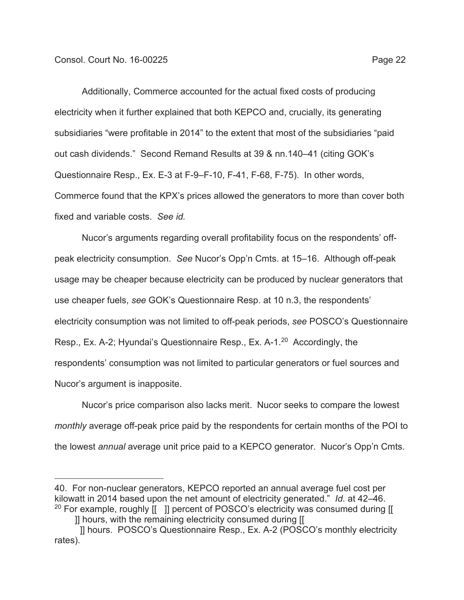Additionally, Commerce accounted for the actual fixed costs of producing electricity when it further explained that both KEPCO and, crucially, its generating subsidiaries "were profitable in 2014" to the extent that most of the subsidiaries "paid out cash dividends." Second Remand Results at 39 & nn.140–41 (citing GOK's Questionnaire Resp., Ex. E-3 at F-9–F-10, F-41, F-68, F-75). In other words, Commerce found that the KPX's prices allowed the generators to more than cover both fixed and variable costs. *See id.*

Nucor's arguments regarding overall profitability focus on the respondents' offpeak electricity consumption. *See* Nucor's Opp'n Cmts. at 15–16. Although off-peak usage may be cheaper because electricity can be produced by nuclear generators that use cheaper fuels, *see* GOK's Questionnaire Resp. at 10 n.3, the respondents' electricity consumption was not limited to off-peak periods, *see* POSCO's Questionnaire Resp., Ex. A-2; Hyundai's Questionnaire Resp., Ex. A-1.<sup>20</sup> Accordingly, the respondents' consumption was not limited to particular generators or fuel sources and Nucor's argument is inapposite.

Nucor's price comparison also lacks merit. Nucor seeks to compare the lowest *monthly* average off-peak price paid by the respondents for certain months of the POI to the lowest *annual* average unit price paid to a KEPCO generator. Nucor's Opp'n Cmts.

<sup>40.</sup> For non-nuclear generators, KEPCO reported an annual average fuel cost per kilowatt in 2014 based upon the net amount of electricity generated." *Id.* at 42–46. <sup>20</sup> For example, roughly  $[[ \ ]]$  percent of POSCO's electricity was consumed during  $[[ \ ]$ 

 <sup>]]</sup> hours, with the remaining electricity consumed during [[

 <sup>]]</sup> hours. POSCO's Questionnaire Resp., Ex. A-2 (POSCO's monthly electricity rates).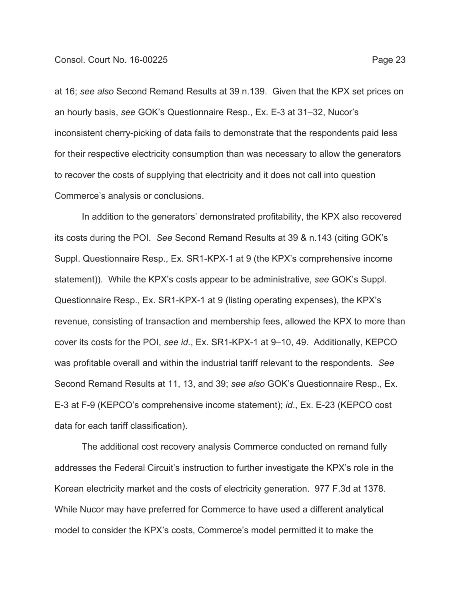at 16; *see also* Second Remand Results at 39 n.139. Given that the KPX set prices on an hourly basis, *see* GOK's Questionnaire Resp., Ex. E-3 at 31–32, Nucor's inconsistent cherry-picking of data fails to demonstrate that the respondents paid less for their respective electricity consumption than was necessary to allow the generators to recover the costs of supplying that electricity and it does not call into question Commerce's analysis or conclusions.

In addition to the generators' demonstrated profitability, the KPX also recovered its costs during the POI. *See* Second Remand Results at 39 & n.143 (citing GOK's Suppl. Questionnaire Resp., Ex. SR1-KPX-1 at 9 (the KPX's comprehensive income statement)). While the KPX's costs appear to be administrative, *see* GOK's Suppl. Questionnaire Resp., Ex. SR1-KPX-1 at 9 (listing operating expenses), the KPX's revenue, consisting of transaction and membership fees, allowed the KPX to more than cover its costs for the POI, *see id.*, Ex. SR1-KPX-1 at 9–10, 49. Additionally, KEPCO was profitable overall and within the industrial tariff relevant to the respondents. *See* Second Remand Results at 11, 13, and 39; *see also* GOK's Questionnaire Resp., Ex. E-3 at F-9 (KEPCO's comprehensive income statement); *id*., Ex. E-23 (KEPCO cost data for each tariff classification).

The additional cost recovery analysis Commerce conducted on remand fully addresses the Federal Circuit's instruction to further investigate the KPX's role in the Korean electricity market and the costs of electricity generation. 977 F.3d at 1378. While Nucor may have preferred for Commerce to have used a different analytical model to consider the KPX's costs, Commerce's model permitted it to make the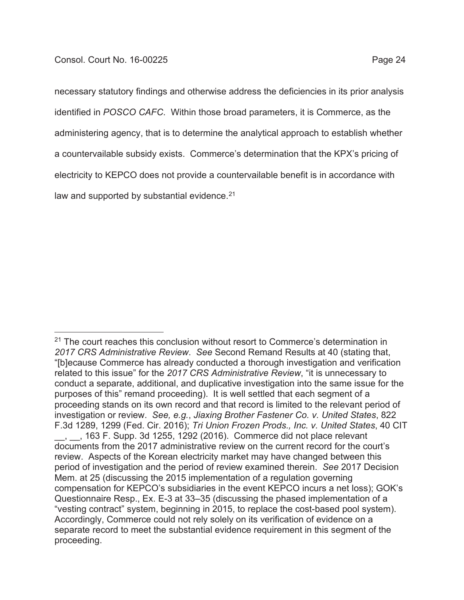necessary statutory findings and otherwise address the deficiencies in its prior analysis identified in *POSCO CAFC*. Within those broad parameters, it is Commerce, as the administering agency, that is to determine the analytical approach to establish whether a countervailable subsidy exists. Commerce's determination that the KPX's pricing of electricity to KEPCO does not provide a countervailable benefit is in accordance with law and supported by substantial evidence.<sup>21</sup>

 $21$  The court reaches this conclusion without resort to Commerce's determination in

*<sup>2017</sup> CRS Administrative Review*. *See* Second Remand Results at 40 (stating that, "[b]ecause Commerce has already conducted a thorough investigation and verification related to this issue" for the *2017 CRS Administrative Review*, "it is unnecessary to conduct a separate, additional, and duplicative investigation into the same issue for the purposes of this" remand proceeding). It is well settled that each segment of a proceeding stands on its own record and that record is limited to the relevant period of investigation or review. *See, e.g.*, *Jiaxing Brother Fastener Co. v. United States*, 822 F.3d 1289, 1299 (Fed. Cir. 2016); *Tri Union Frozen Prods., Inc. v. United States*, 40 CIT \_\_, \_\_, 163 F. Supp. 3d 1255, 1292 (2016). Commerce did not place relevant documents from the 2017 administrative review on the current record for the court's review. Aspects of the Korean electricity market may have changed between this period of investigation and the period of review examined therein. *See* 2017 Decision Mem. at 25 (discussing the 2015 implementation of a regulation governing compensation for KEPCO's subsidiaries in the event KEPCO incurs a net loss); GOK's Questionnaire Resp., Ex. E-3 at 33–35 (discussing the phased implementation of a "vesting contract" system, beginning in 2015, to replace the cost-based pool system). Accordingly, Commerce could not rely solely on its verification of evidence on a separate record to meet the substantial evidence requirement in this segment of the proceeding.